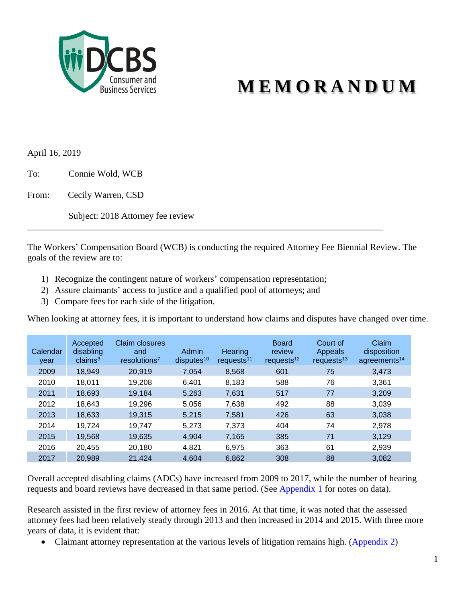

# **M E M O R A N D U M**

April 16, 2019

To: Connie Wold, WCB

From: Cecily Warren, CSD

Subject: 2018 Attorney fee review

The Workers' Compensation Board (WCB) is conducting the required Attorney Fee Biennial Review. The goals of the review are to:

\_\_\_\_\_\_\_\_\_\_\_\_\_\_\_\_\_\_\_\_\_\_\_\_\_\_\_\_\_\_\_\_\_\_\_\_\_\_\_\_\_\_\_\_\_\_\_\_\_\_\_\_\_\_\_\_\_\_\_\_\_\_\_\_\_\_\_\_\_\_\_\_\_\_\_\_\_\_

- 1) Recognize the contingent nature of workers' compensation representation;
- 2) Assure claimants' access to justice and a qualified pool of attorneys; and
- 3) Compare fees for each side of the litigation.

When looking at attorney fees, it is important to understand how claims and disputes have changed over time.

| Calendar<br>vear | Accepted<br>disabling<br>claims <sup>3</sup> | Claim closures<br>and<br>resolutions <sup>7</sup> | Admin<br>disputes <sup>10</sup> | Hearing<br>requests <sup>11</sup> | <b>Board</b><br>review<br>requests <sup>12</sup> | Court of<br>Appeals<br>requests <sup>13</sup> | Claim<br>disposition<br>agreements <sup>14</sup> |
|------------------|----------------------------------------------|---------------------------------------------------|---------------------------------|-----------------------------------|--------------------------------------------------|-----------------------------------------------|--------------------------------------------------|
| 2009             | 18,949                                       | 20,919                                            | 7,054                           | 8,568                             | 601                                              | 75                                            | 3,473                                            |
| 2010             | 18,011                                       | 19,208                                            | 6,401                           | 8,183                             | 588                                              | 76                                            | 3,361                                            |
| 2011             | 18,693                                       | 19.184                                            | 5,263                           | 7,631                             | 517                                              | 77                                            | 3,209                                            |
| 2012             | 18,643                                       | 19,296                                            | 5,056                           | 7,638                             | 492                                              | 88                                            | 3,039                                            |
| 2013             | 18,633                                       | 19,315                                            | 5.215                           | 7,581                             | 426                                              | 63                                            | 3,038                                            |
| 2014             | 19,724                                       | 19,747                                            | 5,273                           | 7,373                             | 404                                              | 74                                            | 2,978                                            |
| 2015             | 19.568                                       | 19,635                                            | 4,904                           | 7.165                             | 385                                              | 71                                            | 3,129                                            |
| 2016             | 20.455                                       | 20,180                                            | 4,821                           | 6,975                             | 363                                              | 61                                            | 2,939                                            |
| 2017             | 20,989                                       | 21,424                                            | 4,604                           | 6,862                             | 308                                              | 88                                            | 3,082                                            |

Overall accepted disabling claims (ADCs) have increased from 2009 to 2017, while the number of hearing requests and board reviews have decreased in that same period. (See [Appendix 1](#page-2-0) for notes on data).

Research assisted in the first review of attorney fees in 2016. At that time, it was noted that the assessed attorney fees had been relatively steady through 2013 and then increased in 2014 and 2015. With three more years of data, it is evident that:

• Claimant attorney representation at the various levels of litigation remains high. [\(Appendix 2\)](#page-3-0)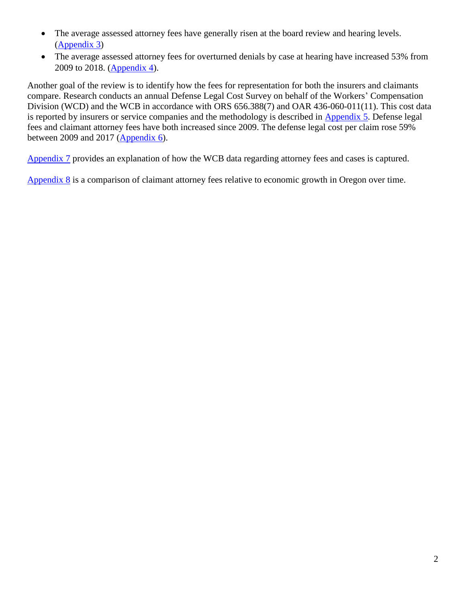- The average assessed attorney fees have generally risen at the board review and hearing levels. [\(Appendix 3\)](#page-3-1)
- The average assessed attorney fees for overturned denials by case at hearing have increased 53% from 2009 to 2018. [\(Appendix 4\)](#page-4-0).

Another goal of the review is to identify how the fees for representation for both the insurers and claimants compare. Research conducts an annual Defense Legal Cost Survey on behalf of the Workers' Compensation Division (WCD) and the WCB in accordance with ORS 656.388(7) and OAR 436-060-011(11). This cost data is reported by insurers or service companies and the methodology is described in Appendix 5. Defense legal fees and claimant attorney fees have both increased since 2009. The defense legal cost per claim rose 59% between 2009 and 2017 ( $\Delta$ ppendix 6).

[Appendix 7](#page-9-0) provides an explanation of how the WCB data regarding attorney fees and cases is captured.

[Appendix 8](#page-11-0) is a comparison of claimant attorney fees relative to economic growth in Oregon over time.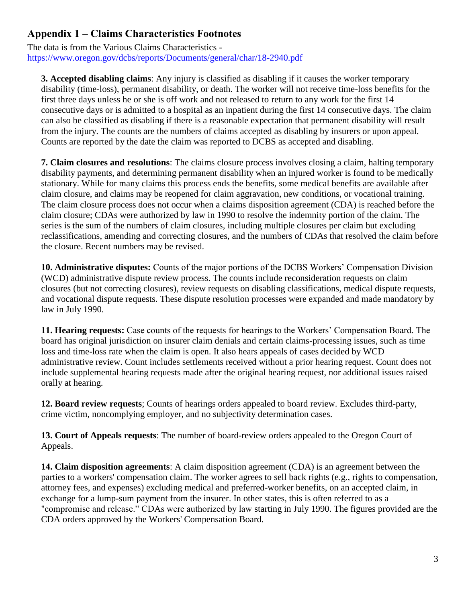# <span id="page-2-0"></span>**Appendix 1 – Claims Characteristics Footnotes**

The data is from the Various Claims Characteristics <https://www.oregon.gov/dcbs/reports/Documents/general/char/18-2940.pdf>

**3. Accepted disabling claims**: Any injury is classified as disabling if it causes the worker temporary disability (time-loss), permanent disability, or death. The worker will not receive time-loss benefits for the first three days unless he or she is off work and not released to return to any work for the first 14 consecutive days or is admitted to a hospital as an inpatient during the first 14 consecutive days. The claim can also be classified as disabling if there is a reasonable expectation that permanent disability will result from the injury. The counts are the numbers of claims accepted as disabling by insurers or upon appeal. Counts are reported by the date the claim was reported to DCBS as accepted and disabling.

**7. Claim closures and resolutions**: The claims closure process involves closing a claim, halting temporary disability payments, and determining permanent disability when an injured worker is found to be medically stationary. While for many claims this process ends the benefits, some medical benefits are available after claim closure, and claims may be reopened for claim aggravation, new conditions, or vocational training. The claim closure process does not occur when a claims disposition agreement (CDA) is reached before the claim closure; CDAs were authorized by law in 1990 to resolve the indemnity portion of the claim. The series is the sum of the numbers of claim closures, including multiple closures per claim but excluding reclassifications, amending and correcting closures, and the numbers of CDAs that resolved the claim before the closure. Recent numbers may be revised.

**10. Administrative disputes:** Counts of the major portions of the DCBS Workers' Compensation Division (WCD) administrative dispute review process. The counts include reconsideration requests on claim closures (but not correcting closures), review requests on disabling classifications, medical dispute requests, and vocational dispute requests. These dispute resolution processes were expanded and made mandatory by law in July 1990.

**11. Hearing requests:** Case counts of the requests for hearings to the Workers' Compensation Board. The board has original jurisdiction on insurer claim denials and certain claims-processing issues, such as time loss and time-loss rate when the claim is open. It also hears appeals of cases decided by WCD administrative review. Count includes settlements received without a prior hearing request. Count does not include supplemental hearing requests made after the original hearing request, nor additional issues raised orally at hearing.

**12. Board review requests**; Counts of hearings orders appealed to board review. Excludes third-party, crime victim, noncomplying employer, and no subjectivity determination cases.

**13. Court of Appeals requests**: The number of board-review orders appealed to the Oregon Court of Appeals.

**14. Claim disposition agreements**: A claim disposition agreement (CDA) is an agreement between the parties to a workers' compensation claim. The worker agrees to sell back rights (e.g., rights to compensation, attorney fees, and expenses) excluding medical and preferred-worker benefits, on an accepted claim, in exchange for a lump-sum payment from the insurer. In other states, this is often referred to as a "compromise and release." CDAs were authorized by law starting in July 1990. The figures provided are the CDA orders approved by the Workers' Compensation Board.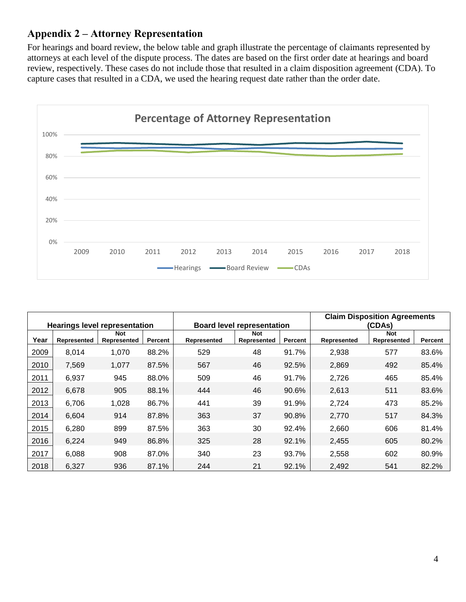### <span id="page-3-0"></span>**Appendix 2 – Attorney Representation**

For hearings and board review, the below table and graph illustrate the percentage of claimants represented by attorneys at each level of the dispute process. The dates are based on the first order date at hearings and board review, respectively. These cases do not include those that resulted in a claim disposition agreement (CDA). To capture cases that resulted in a CDA, we used the hearing request date rather than the order date.



<span id="page-3-1"></span>

|      |             |                                      |         |             |                                   |         | <b>Claim Disposition Agreements</b> |                           |         |  |
|------|-------------|--------------------------------------|---------|-------------|-----------------------------------|---------|-------------------------------------|---------------------------|---------|--|
|      |             | <b>Hearings level representation</b> |         |             | <b>Board level representation</b> |         | (CDAs)                              |                           |         |  |
| Year | Represented | <b>Not</b><br>Represented            | Percent | Represented | <b>Not</b><br>Represented         | Percent | Represented                         | <b>Not</b><br>Represented | Percent |  |
| 2009 | 8,014       | 1,070                                | 88.2%   | 529         | 48                                | 91.7%   | 2,938                               | 577                       | 83.6%   |  |
| 2010 | 7,569       | 1,077                                | 87.5%   | 567         | 46                                | 92.5%   | 2,869                               | 492                       | 85.4%   |  |
| 2011 | 6,937       | 945                                  | 88.0%   | 509         | 46                                | 91.7%   | 2,726                               | 465                       | 85.4%   |  |
| 2012 | 6,678       | 905                                  | 88.1%   | 444         | 46                                | 90.6%   | 2,613                               | 511                       | 83.6%   |  |
| 2013 | 6,706       | 1,028                                | 86.7%   | 441         | 39                                | 91.9%   | 2,724                               | 473                       | 85.2%   |  |
| 2014 | 6,604       | 914                                  | 87.8%   | 363         | 37                                | 90.8%   | 2,770                               | 517                       | 84.3%   |  |
| 2015 | 6,280       | 899                                  | 87.5%   | 363         | 30                                | 92.4%   | 2,660                               | 606                       | 81.4%   |  |
| 2016 | 6,224       | 949                                  | 86.8%   | 325         | 28                                | 92.1%   | 2,455                               | 605                       | 80.2%   |  |
| 2017 | 6,088       | 908                                  | 87.0%   | 340         | 23                                | 93.7%   | 2,558                               | 602                       | 80.9%   |  |
| 2018 | 6,327       | 936                                  | 87.1%   | 244         | 21                                | 92.1%   | 2,492                               | 541                       | 82.2%   |  |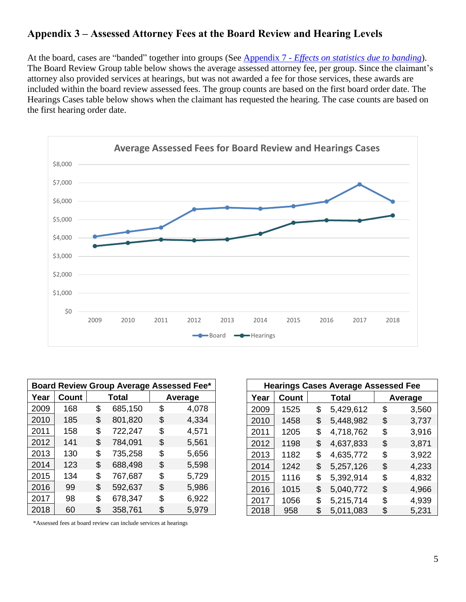# **Appendix 3 – Assessed Attorney Fees at the Board Review and Hearing Levels**

At the board, cases are "banded" together into groups (See Appendix 7 - *[Effects on statistics due to banding](#page-7-0)*). The Board Review Group table below shows the average assessed attorney fee, per group. Since the claimant's attorney also provided services at hearings, but was not awarded a fee for those services, these awards are included within the board review assessed fees. The group counts are based on the first board order date. The Hearings Cases table below shows when the claimant has requested the hearing. The case counts are based on the first hearing order date.



| Board Review Group Average Assessed Fee* |              |    |              |    |         |  |  |  |  |  |  |
|------------------------------------------|--------------|----|--------------|----|---------|--|--|--|--|--|--|
| Year                                     | <b>Count</b> |    | <b>Total</b> |    | Average |  |  |  |  |  |  |
| 2009                                     | 168          | \$ | 685,150      | \$ | 4,078   |  |  |  |  |  |  |
| 2010                                     | 185          | \$ | 801,820      | \$ | 4,334   |  |  |  |  |  |  |
| 2011                                     | 158          | \$ | 722,247      | \$ | 4,571   |  |  |  |  |  |  |
| 2012                                     | 141          | \$ | 784,091      | \$ | 5,561   |  |  |  |  |  |  |
| 2013                                     | 130          | \$ | 735,258      | \$ | 5,656   |  |  |  |  |  |  |
| 2014                                     | 123          | \$ | 688,498      | \$ | 5,598   |  |  |  |  |  |  |
| 2015                                     | 134          | \$ | 767,687      | \$ | 5,729   |  |  |  |  |  |  |
| 2016                                     | 99           | \$ | 592,637      | \$ | 5,986   |  |  |  |  |  |  |
| 2017                                     | 98           | \$ | 678,347      | \$ | 6,922   |  |  |  |  |  |  |
| 2018                                     | 60           | \$ | 358,761      | \$ | 5,979   |  |  |  |  |  |  |

|      | <b>Hearings Cases Average Assessed Fee</b> |    |              |    |         |  |  |  |  |  |  |  |
|------|--------------------------------------------|----|--------------|----|---------|--|--|--|--|--|--|--|
| Year | Count                                      |    | <b>Total</b> |    | Average |  |  |  |  |  |  |  |
| 2009 | 1525                                       | \$ | 5,429,612    | \$ | 3,560   |  |  |  |  |  |  |  |
| 2010 | 1458                                       | \$ | 5,448,982    | \$ | 3,737   |  |  |  |  |  |  |  |
| 2011 | 1205                                       | \$ | 4,718,762    | \$ | 3,916   |  |  |  |  |  |  |  |
| 2012 | 1198                                       | \$ | 4,637,833    | \$ | 3,871   |  |  |  |  |  |  |  |
| 2013 | 1182                                       | \$ | 4,635,772    | \$ | 3,922   |  |  |  |  |  |  |  |
| 2014 | 1242                                       | \$ | 5,257,126    | \$ | 4,233   |  |  |  |  |  |  |  |
| 2015 | 1116                                       | \$ | 5,392,914    | \$ | 4,832   |  |  |  |  |  |  |  |
| 2016 | 1015                                       | \$ | 5,040,772    | \$ | 4,966   |  |  |  |  |  |  |  |
| 2017 | 1056                                       | \$ | 5,215,714    | \$ | 4,939   |  |  |  |  |  |  |  |
| 2018 | 958                                        | \$ | 5,011,083    | \$ | 5,231   |  |  |  |  |  |  |  |

<span id="page-4-0"></span>\*Assessed fees at board review can include services at hearings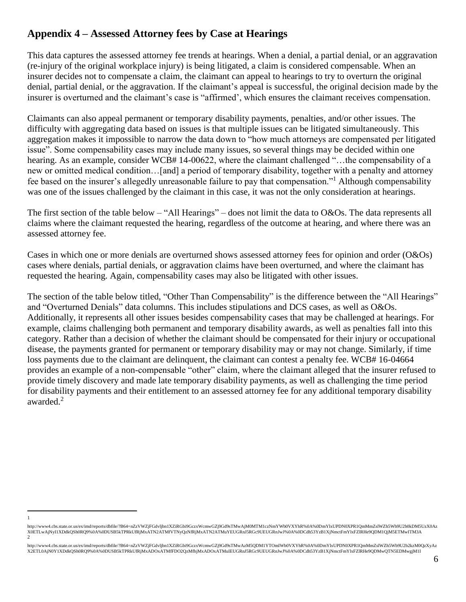# **Appendix 4 – Assessed Attorney fees by Case at Hearings**

This data captures the assessed attorney fee trends at hearings. When a denial, a partial denial, or an aggravation (re-injury of the original workplace injury) is being litigated, a claim is considered compensable. When an insurer decides not to compensate a claim, the claimant can appeal to hearings to try to overturn the original denial, partial denial, or the aggravation. If the claimant's appeal is successful, the original decision made by the insurer is overturned and the claimant's case is "affirmed', which ensures the claimant receives compensation.

Claimants can also appeal permanent or temporary disability payments, penalties, and/or other issues. The difficulty with aggregating data based on issues is that multiple issues can be litigated simultaneously. This aggregation makes it impossible to narrow the data down to "how much attorneys are compensated per litigated issue". Some compensability cases may include many issues, so several things may be decided within one hearing. As an example, consider WCB# 14-00622, where the claimant challenged "...the compensability of a new or omitted medical condition…[and] a period of temporary disability, together with a penalty and attorney fee based on the insurer's allegedly unreasonable failure to pay that compensation."<sup>1</sup> Although compensability was one of the issues challenged by the claimant in this case, it was not the only consideration at hearings.

The first section of the table below – "All Hearings" – does not limit the data to O&Os. The data represents all claims where the claimant requested the hearing, regardless of the outcome at hearing, and where there was an assessed attorney fee.

Cases in which one or more denials are overturned shows assessed attorney fees for opinion and order (O&Os) cases where denials, partial denials, or aggravation claims have been overturned, and where the claimant has requested the hearing. Again, compensability cases may also be litigated with other issues.

The section of the table below titled, "Other Than Compensability" is the difference between the "All Hearings" and "Overturned Denials" data columns. This includes stipulations and DCS cases, as well as O&Os. Additionally, it represents all other issues besides compensability cases that may be challenged at hearings. For example, claims challenging both permanent and temporary disability awards, as well as penalties fall into this category. Rather than a decision of whether the claimant should be compensated for their injury or occupational disease, the payments granted for permanent or temporary disability may or may not change. Similarly, if time loss payments due to the claimant are delinquent, the claimant can contest a penalty fee. WCB# 16-04664 provides an example of a non-compensable "other" claim, where the claimant alleged that the insurer refused to provide timely discovery and made late temporary disability payments, as well as challenging the time period for disability payments and their entitlement to an assessed attorney fee for any additional temporary disability awarded.<sup>2</sup>

 $\overline{a}$ 1

http://www4.cbs.state.or.us/ex/imd/reports/dbfile/?B64=nZzVWZjFGdvljbn1XZiRGbi9GczxWcmwGZj9Gd9sTMwAjM0MTM1czNmYWb0VXYhR%0A%0DmYlxUPDN0XPR1QmMmZslWZh5Wb9U2b0kDM5UzX0Az X0ETLwAjNyI1XDdkQSh0RQ9%0A%0DUSB5kTPRkUfRjMxATN2ATMfVTNyQzNfRjMxATN2ATMuYEUGRnJ5RGc9UEUGRnJwJ%0A%0DCdh53YzB1XjNmctFmYlxFZlRHe9QDM1QjM5ETMwITM3A  $\mathfrak{D}$ 

http://www4.cbs.state.or.us/ex/imd/reports/dbfile/?B64=nZzVWZjFGdvljbn1XZiRGbi9GczxWcmwGZj9Gd9sTMwAzM5QDM1YTOmIWb0VXYhR%0A%0DmYlxUPDN0XPR1QmMmZslWZh5Wb9U2b2kzM0QzXyAz X2ETL0AjN0Y1XDdkQSh0RQ9%0A%0DUSB5kTPRkUfRjMxADOxATMfFDO2QzMfhjMxADOxATMuIEUGRnJ5RGc9UEUGRnJwJ%0A%0DCdh53YzB1XjNmctFmYlxFZlRHe9QDMwQTN5EDMwgjM1I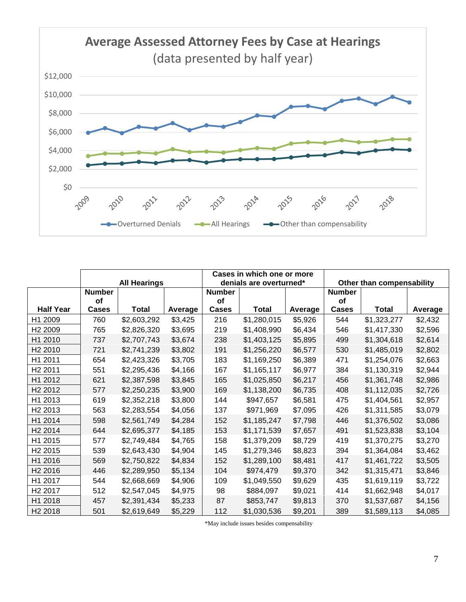

|                     |               |                     |         |               | Cases in which one or more |         |               |                           |         |  |  |
|---------------------|---------------|---------------------|---------|---------------|----------------------------|---------|---------------|---------------------------|---------|--|--|
|                     |               | <b>All Hearings</b> |         |               | denials are overturned*    |         |               | Other than compensability |         |  |  |
|                     | <b>Number</b> |                     |         | <b>Number</b> |                            |         | <b>Number</b> |                           |         |  |  |
|                     | <b>of</b>     |                     |         | <b>of</b>     |                            |         | <b>of</b>     |                           |         |  |  |
| <b>Half Year</b>    | <b>Cases</b>  | Total               | Average | <b>Cases</b>  | <b>Total</b>               | Average | <b>Cases</b>  | <b>Total</b>              | Average |  |  |
| H1 2009             | 760           | \$2,603,292         | \$3,425 | 216           | \$1,280,015                | \$5,926 | 544           | \$1,323,277               | \$2,432 |  |  |
| H <sub>2</sub> 2009 | 765           | \$2,826,320         | \$3,695 | 219           | \$1,408,990                | \$6,434 | 546           | \$1,417,330               | \$2,596 |  |  |
| H1 2010             | 737           | \$2,707,743         | \$3,674 | 238           | \$1,403,125                | \$5,895 | 499           | \$1,304,618               | \$2,614 |  |  |
| H <sub>2</sub> 2010 | 721           | \$2,741,239         | \$3,802 | 191           | \$1,256,220                | \$6,577 | 530           | \$1,485,019               | \$2,802 |  |  |
| H1 2011             | 654           | \$2,423,326         | \$3,705 | 183           | \$1,169,250                | \$6,389 | 471           | \$1,254,076               | \$2,663 |  |  |
| H <sub>2</sub> 2011 | 551           | \$2,295,436         | \$4,166 | 167           | \$1,165,117                | \$6,977 | 384           | \$1,130,319               | \$2,944 |  |  |
| H1 2012             | 621           | \$2,387,598         | \$3,845 | 165           | \$1,025,850                | \$6,217 | 456           | \$1,361,748               | \$2,986 |  |  |
| H <sub>2</sub> 2012 | 577           | \$2,250,235         | \$3,900 | 169           | \$1,138,200                | \$6,735 | 408           | \$1,112,035               | \$2,726 |  |  |
| H1 2013             | 619           | \$2,352,218         | \$3,800 | 144           | \$947,657                  | \$6,581 | 475           | \$1,404,561               | \$2,957 |  |  |
| H <sub>2</sub> 2013 | 563           | \$2,283,554         | \$4,056 | 137           | \$971,969                  | \$7,095 | 426           | \$1,311,585               | \$3,079 |  |  |
| H1 2014             | 598           | \$2,561,749         | \$4,284 | 152           | \$1,185,247                | \$7,798 | 446           | \$1,376,502               | \$3,086 |  |  |
| H <sub>2</sub> 2014 | 644           | \$2,695,377         | \$4,185 | 153           | \$1,171,539                | \$7,657 | 491           | \$1,523,838               | \$3,104 |  |  |
| H1 2015             | 577           | \$2,749,484         | \$4,765 | 158           | \$1,379,209                | \$8,729 | 419           | \$1,370,275               | \$3,270 |  |  |
| H <sub>2</sub> 2015 | 539           | \$2,643,430         | \$4,904 | 145           | \$1,279,346                | \$8,823 | 394           | \$1,364,084               | \$3,462 |  |  |
| H1 2016             | 569           | \$2,750,822         | \$4,834 | 152           | \$1,289,100                | \$8,481 | 417           | \$1,461,722               | \$3,505 |  |  |
| H <sub>2</sub> 2016 | 446           | \$2,289,950         | \$5,134 | 104           | \$974,479                  | \$9,370 | 342           | \$1,315,471               | \$3,846 |  |  |
| H1 2017             | 544           | \$2,668,669         | \$4,906 | 109           | \$1,049,550                | \$9,629 | 435           | \$1,619,119               | \$3,722 |  |  |
| H <sub>2</sub> 2017 | 512           | \$2,547,045         | \$4,975 | 98            | \$884,097                  | \$9,021 | 414           | \$1,662,948               | \$4,017 |  |  |
| H1 2018             | 457           | \$2,391,434         | \$5,233 | 87            | \$853,747                  | \$9,813 | 370           | \$1,537,687               | \$4,156 |  |  |
| H <sub>2</sub> 2018 | 501           | \$2,619,649         | \$5,229 | 112           | \$1,030,536                | \$9,201 | 389           | \$1,589,113               | \$4,085 |  |  |

\*May include issues besides compensability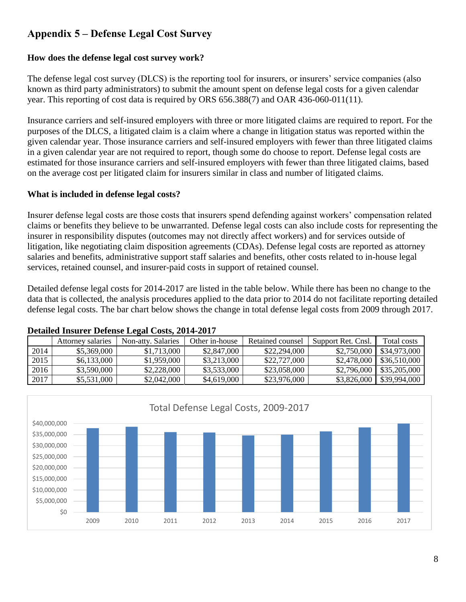# **Appendix 5 – Defense Legal Cost Survey**

#### **How does the defense legal cost survey work?**

The defense legal cost survey (DLCS) is the reporting tool for insurers, or insurers' service companies (also known as third party administrators) to submit the amount spent on defense legal costs for a given calendar year. This reporting of cost data is required by ORS 656.388(7) and OAR 436-060-011(11).

Insurance carriers and self-insured employers with three or more litigated claims are required to report. For the purposes of the DLCS, a litigated claim is a claim where a change in litigation status was reported within the given calendar year. Those insurance carriers and self-insured employers with fewer than three litigated claims in a given calendar year are not required to report, though some do choose to report. Defense legal costs are estimated for those insurance carriers and self-insured employers with fewer than three litigated claims, based on the average cost per litigated claim for insurers similar in class and number of litigated claims.

#### **What is included in defense legal costs?**

Insurer defense legal costs are those costs that insurers spend defending against workers' compensation related claims or benefits they believe to be unwarranted. Defense legal costs can also include costs for representing the insurer in responsibility disputes (outcomes may not directly affect workers) and for services outside of litigation, like negotiating claim disposition agreements (CDAs). Defense legal costs are reported as attorney salaries and benefits, administrative support staff salaries and benefits, other costs related to in-house legal services, retained counsel, and insurer-paid costs in support of retained counsel.

Detailed defense legal costs for 2014-2017 are listed in the table below. While there has been no change to the data that is collected, the analysis procedures applied to the data prior to 2014 do not facilitate reporting detailed defense legal costs. The bar chart below shows the change in total defense legal costs from 2009 through 2017.

|      | <b>Attorney salaries</b> | Non-atty, Salaries | Other in-house | Retained counsel | Support Ret. Cnsl. | Total costs  |
|------|--------------------------|--------------------|----------------|------------------|--------------------|--------------|
| 2014 | \$5,369,000              | \$1,713,000        | \$2,847,000    | \$22,294,000     | \$2,750,000        | \$34,973,000 |
| 2015 | \$6,133,000              | \$1,959,000        | \$3,213,000    | \$22,727,000     | \$2,478,000        | \$36,510,000 |
| 2016 | \$3,590,000              | \$2,228,000        | \$3,533,000    | \$23,058,000     | \$2,796,000        | \$35,205,000 |
| 2017 | \$5,531,000              | \$2,042,000        | \$4,619,000    | \$23,976,000     | \$3,826,000        | \$39,994,000 |

<span id="page-7-0"></span>

#### **Detailed Insurer Defense Legal Costs, 2014-2017**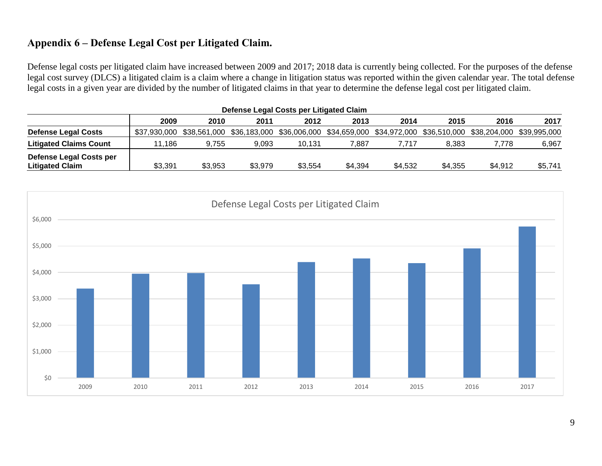# **Appendix 6 – Defense Legal Cost per Litigated Claim.**

Defense legal costs per litigated claim have increased between 2009 and 2017; 2018 data is currently being collected. For the purposes of the defense legal cost survey (DLCS) a litigated claim is a claim where a change in litigation status was reported within the given calendar year. The total defense legal costs in a given year are divided by the number of litigated claims in that year to determine the defense legal cost per litigated claim.

| Defense Legal Costs per Litigated Claim                  |         |                                                                                                         |         |         |         |         |         |         |              |  |
|----------------------------------------------------------|---------|---------------------------------------------------------------------------------------------------------|---------|---------|---------|---------|---------|---------|--------------|--|
|                                                          | 2009    | 2010                                                                                                    | 2011    | 2012    | 2013    | 2014    | 2015    | 2016    | 2017         |  |
| <b>Defense Legal Costs</b>                               |         | \$37,930,000 \$38,561,000 \$36,183,000 \$36,006,000 \$34,659,000 \$34,972,000 \$36,510,000 \$38,204,000 |         |         |         |         |         |         | \$39.995.000 |  |
| <b>Litigated Claims Count</b>                            | 11.186  | 9.755                                                                                                   | 9.093   | 10.131  | 7,887   | 7.717   | 8.383   | 7.778   | 6,967        |  |
| <b>Defense Legal Costs per</b><br><b>Litigated Claim</b> | \$3,391 | \$3,953                                                                                                 | \$3,979 | \$3,554 | \$4,394 | \$4,532 | \$4,355 | \$4,912 | \$5,741      |  |

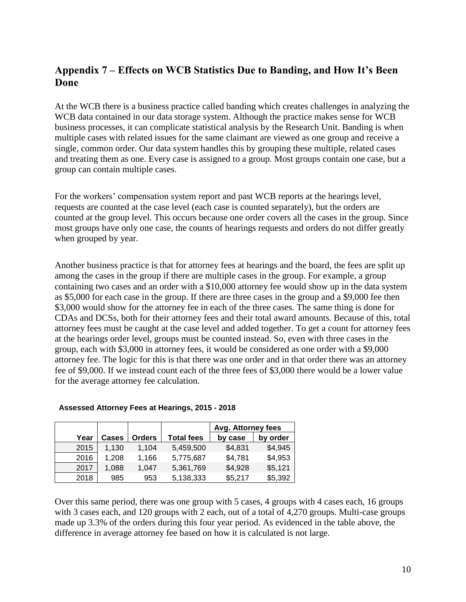# <span id="page-9-0"></span>**Appendix 7 – Effects on WCB Statistics Due to Banding, and How It's Been Done**

At the WCB there is a business practice called banding which creates challenges in analyzing the WCB data contained in our data storage system. Although the practice makes sense for WCB business processes, it can complicate statistical analysis by the Research Unit. Banding is when multiple cases with related issues for the same claimant are viewed as one group and receive a single, common order. Our data system handles this by grouping these multiple, related cases and treating them as one. Every case is assigned to a group. Most groups contain one case, but a group can contain multiple cases.

For the workers' compensation system report and past WCB reports at the hearings level, requests are counted at the case level (each case is counted separately), but the orders are counted at the group level. This occurs because one order covers all the cases in the group. Since most groups have only one case, the counts of hearings requests and orders do not differ greatly when grouped by year.

Another business practice is that for attorney fees at hearings and the board, the fees are split up among the cases in the group if there are multiple cases in the group. For example, a group containing two cases and an order with a \$10,000 attorney fee would show up in the data system as \$5,000 for each case in the group. If there are three cases in the group and a \$9,000 fee then \$3,000 would show for the attorney fee in each of the three cases. The same thing is done for CDAs and DCSs, both for their attorney fees and their total award amounts. Because of this, total attorney fees must be caught at the case level and added together. To get a count for attorney fees at the hearings order level, groups must be counted instead. So, even with three cases in the group, each with \$3,000 in attorney fees, it would be considered as one order with a \$9,000 attorney fee. The logic for this is that there was one order and in that order there was an attorney fee of \$9,000. If we instead count each of the three fees of \$3,000 there would be a lower value for the average attorney fee calculation.

|      |              |               |                   | Avg. Attorney fees |          |
|------|--------------|---------------|-------------------|--------------------|----------|
| Year | <b>Cases</b> | <b>Orders</b> | <b>Total fees</b> | by case            | by order |
| 2015 | 1.130        | 1.104         | 5.459.500         | \$4,831            | \$4,945  |
| 2016 | 1,208        | 1,166         | 5,775,687         | \$4,781            | \$4,953  |
| 2017 | 1.088        | 1.047         | 5,361,769         | \$4,928            | \$5,121  |
| 2018 | 985          | 953           | 5,138,333         | \$5,217            | \$5,392  |

#### **Assessed Attorney Fees at Hearings, 2015 - 2018**

Over this same period, there was one group with 5 cases, 4 groups with 4 cases each, 16 groups with 3 cases each, and 120 groups with 2 each, out of a total of 4,270 groups. Multi-case groups made up 3.3% of the orders during this four year period. As evidenced in the table above, the difference in average attorney fee based on how it is calculated is not large.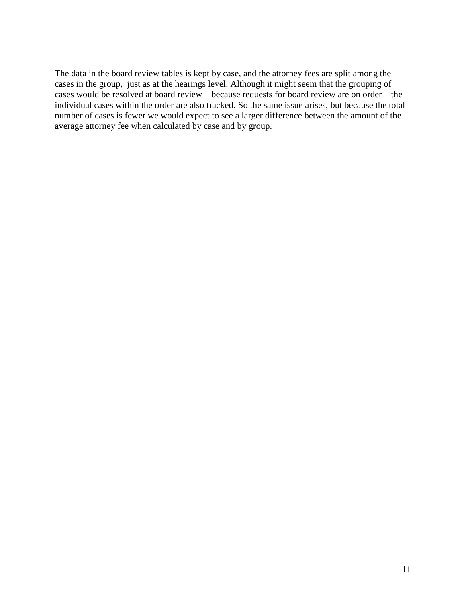The data in the board review tables is kept by case, and the attorney fees are split among the cases in the group, just as at the hearings level. Although it might seem that the grouping of cases would be resolved at board review – because requests for board review are on order – the individual cases within the order are also tracked. So the same issue arises, but because the total number of cases is fewer we would expect to see a larger difference between the amount of the average attorney fee when calculated by case and by group.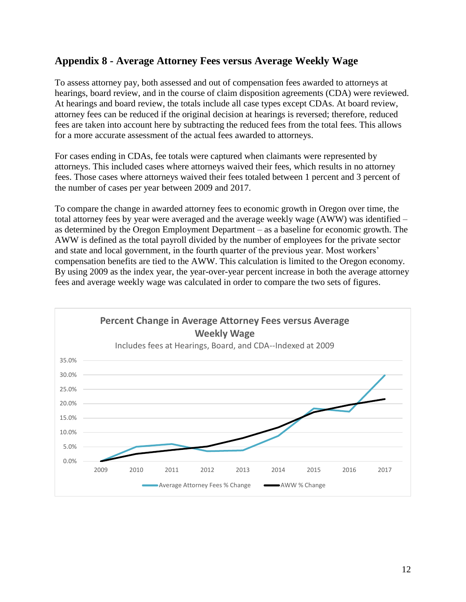## <span id="page-11-0"></span>**Appendix 8 - Average Attorney Fees versus Average Weekly Wage**

To assess attorney pay, both assessed and out of compensation fees awarded to attorneys at hearings, board review, and in the course of claim disposition agreements (CDA) were reviewed. At hearings and board review, the totals include all case types except CDAs. At board review, attorney fees can be reduced if the original decision at hearings is reversed; therefore, reduced fees are taken into account here by subtracting the reduced fees from the total fees. This allows for a more accurate assessment of the actual fees awarded to attorneys.

For cases ending in CDAs, fee totals were captured when claimants were represented by attorneys. This included cases where attorneys waived their fees, which results in no attorney fees. Those cases where attorneys waived their fees totaled between 1 percent and 3 percent of the number of cases per year between 2009 and 2017.

To compare the change in awarded attorney fees to economic growth in Oregon over time, the total attorney fees by year were averaged and the average weekly wage (AWW) was identified – as determined by the Oregon Employment Department – as a baseline for economic growth. The AWW is defined as the total payroll divided by the number of employees for the private sector and state and local government, in the fourth quarter of the previous year. Most workers' compensation benefits are tied to the AWW. This calculation is limited to the Oregon economy. By using 2009 as the index year, the year-over-year percent increase in both the average attorney fees and average weekly wage was calculated in order to compare the two sets of figures.